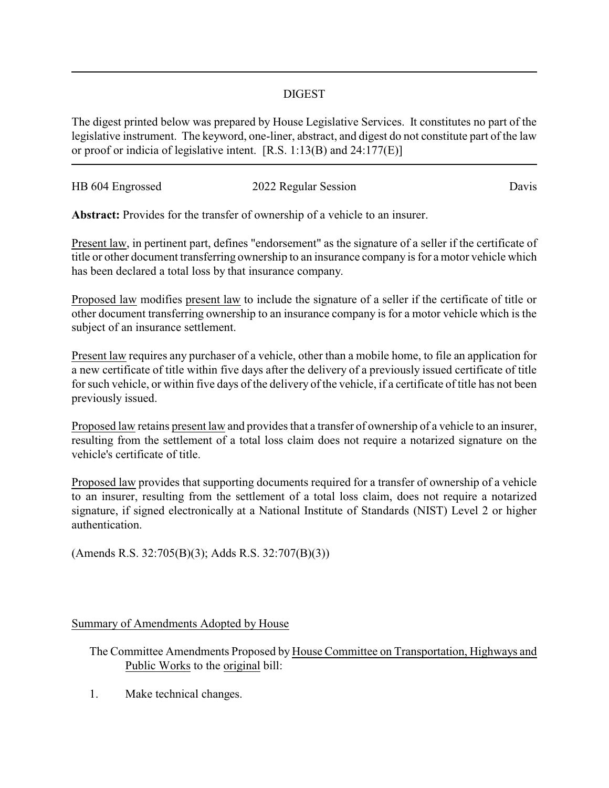## DIGEST

The digest printed below was prepared by House Legislative Services. It constitutes no part of the legislative instrument. The keyword, one-liner, abstract, and digest do not constitute part of the law or proof or indicia of legislative intent. [R.S. 1:13(B) and 24:177(E)]

| HB 604 Engrossed | 2022 Regular Session | Davis |
|------------------|----------------------|-------|
|                  |                      |       |

**Abstract:** Provides for the transfer of ownership of a vehicle to an insurer.

Present law, in pertinent part, defines "endorsement" as the signature of a seller if the certificate of title or other document transferring ownership to an insurance company is for a motor vehicle which has been declared a total loss by that insurance company.

Proposed law modifies present law to include the signature of a seller if the certificate of title or other document transferring ownership to an insurance company is for a motor vehicle which is the subject of an insurance settlement.

Present law requires any purchaser of a vehicle, other than a mobile home, to file an application for a new certificate of title within five days after the delivery of a previously issued certificate of title for such vehicle, or within five days of the delivery of the vehicle, if a certificate of title has not been previously issued.

Proposed law retains present law and provides that a transfer of ownership of a vehicle to an insurer, resulting from the settlement of a total loss claim does not require a notarized signature on the vehicle's certificate of title.

Proposed law provides that supporting documents required for a transfer of ownership of a vehicle to an insurer, resulting from the settlement of a total loss claim, does not require a notarized signature, if signed electronically at a National Institute of Standards (NIST) Level 2 or higher authentication.

(Amends R.S. 32:705(B)(3); Adds R.S. 32:707(B)(3))

## Summary of Amendments Adopted by House

- The Committee Amendments Proposed by House Committee on Transportation, Highways and Public Works to the original bill:
- 1. Make technical changes.